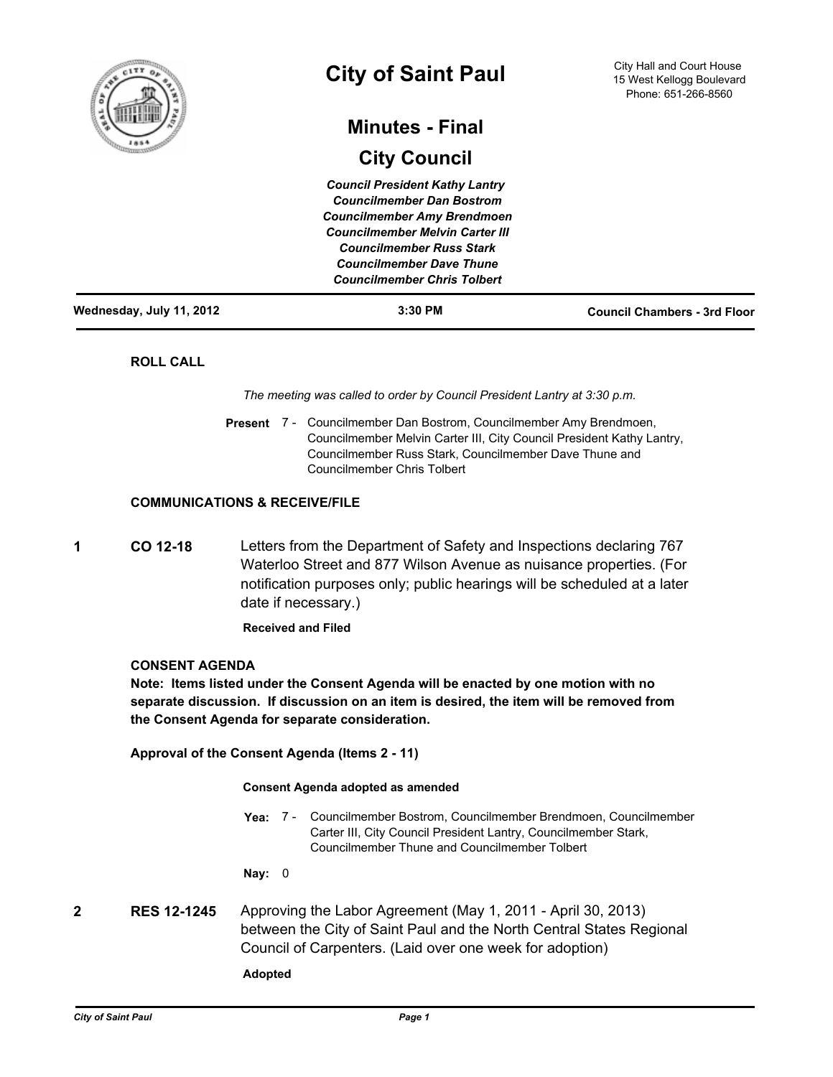

# **City of Saint Paul**

## **Minutes - Final**

## **City Council**

| Wednesday, July 11, 2012 | $3:30$ PM                              | <b>Council Chambers - 3rd Floor</b> |
|--------------------------|----------------------------------------|-------------------------------------|
|                          | <b>Councilmember Chris Tolbert</b>     |                                     |
|                          | <b>Councilmember Dave Thune</b>        |                                     |
|                          | <b>Councilmember Russ Stark</b>        |                                     |
|                          | <b>Councilmember Melvin Carter III</b> |                                     |
|                          | <b>Councilmember Amy Brendmoen</b>     |                                     |
|                          | <b>Councilmember Dan Bostrom</b>       |                                     |
|                          | <b>Council President Kathy Lantry</b>  |                                     |

## **ROLL CALL**

*The meeting was called to order by Council President Lantry at 3:30 p.m.*

Present 7 - Councilmember Dan Bostrom, Councilmember Amy Brendmoen, Councilmember Melvin Carter III, City Council President Kathy Lantry, Councilmember Russ Stark, Councilmember Dave Thune and Councilmember Chris Tolbert

## **COMMUNICATIONS & RECEIVE/FILE**

**1 CO 12-18** Letters from the Department of Safety and Inspections declaring 767 Waterloo Street and 877 Wilson Avenue as nuisance properties. (For notification purposes only; public hearings will be scheduled at a later date if necessary.)

**Received and Filed**

## **CONSENT AGENDA**

**Note: Items listed under the Consent Agenda will be enacted by one motion with no separate discussion. If discussion on an item is desired, the item will be removed from the Consent Agenda for separate consideration.**

**Approval of the Consent Agenda (Items 2 - 11)**

#### **Consent Agenda adopted as amended**

Yea: 7 - Councilmember Bostrom, Councilmember Brendmoen, Councilmember Carter III, City Council President Lantry, Councilmember Stark, Councilmember Thune and Councilmember Tolbert

**Nay:** 0

**2 RES 12-1245** Approving the Labor Agreement (May 1, 2011 - April 30, 2013) between the City of Saint Paul and the North Central States Regional Council of Carpenters. (Laid over one week for adoption)

**Adopted**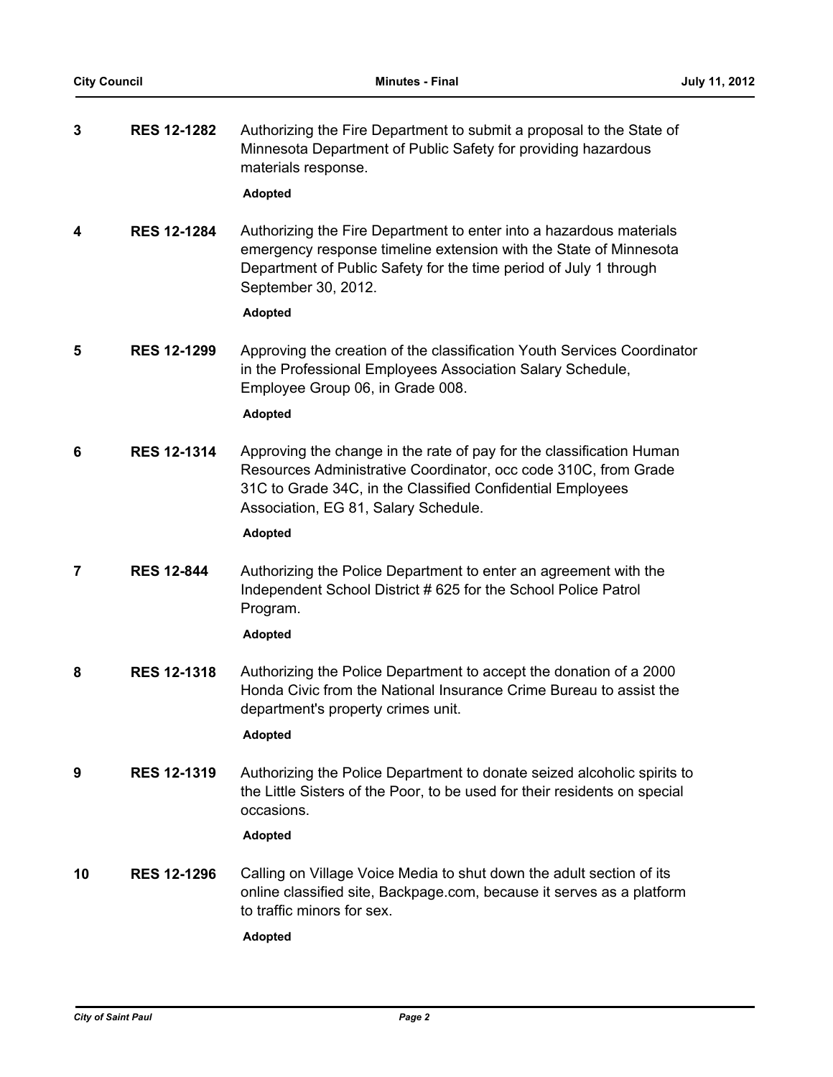| 3  | <b>RES 12-1282</b> | Authorizing the Fire Department to submit a proposal to the State of<br>Minnesota Department of Public Safety for providing hazardous<br>materials response.<br><b>Adopted</b>                                                                                  |
|----|--------------------|-----------------------------------------------------------------------------------------------------------------------------------------------------------------------------------------------------------------------------------------------------------------|
| 4  | <b>RES 12-1284</b> | Authorizing the Fire Department to enter into a hazardous materials<br>emergency response timeline extension with the State of Minnesota<br>Department of Public Safety for the time period of July 1 through<br>September 30, 2012.<br><b>Adopted</b>          |
| 5  | <b>RES 12-1299</b> | Approving the creation of the classification Youth Services Coordinator<br>in the Professional Employees Association Salary Schedule,<br>Employee Group 06, in Grade 008.<br><b>Adopted</b>                                                                     |
| 6  | <b>RES 12-1314</b> | Approving the change in the rate of pay for the classification Human<br>Resources Administrative Coordinator, occ code 310C, from Grade<br>31C to Grade 34C, in the Classified Confidential Employees<br>Association, EG 81, Salary Schedule.<br><b>Adopted</b> |
| 7  | <b>RES 12-844</b>  | Authorizing the Police Department to enter an agreement with the<br>Independent School District # 625 for the School Police Patrol<br>Program.<br><b>Adopted</b>                                                                                                |
| 8  | <b>RES 12-1318</b> | Authorizing the Police Department to accept the donation of a 2000<br>Honda Civic from the National Insurance Crime Bureau to assist the<br>department's property crimes unit.<br><b>Adopted</b>                                                                |
| 9  | <b>RES 12-1319</b> | Authorizing the Police Department to donate seized alcoholic spirits to<br>the Little Sisters of the Poor, to be used for their residents on special<br>occasions.<br><b>Adopted</b>                                                                            |
| 10 | <b>RES 12-1296</b> | Calling on Village Voice Media to shut down the adult section of its<br>online classified site, Backpage.com, because it serves as a platform<br>to traffic minors for sex.<br><b>Adopted</b>                                                                   |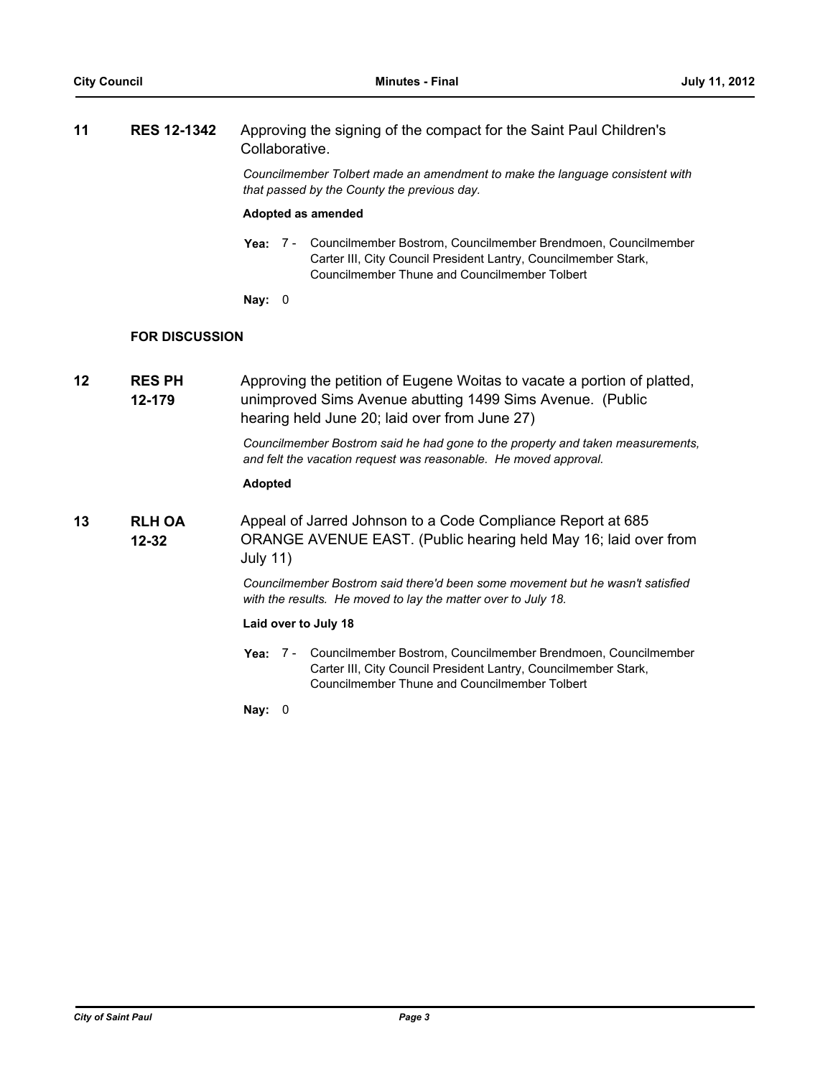## **11 RES 12-1342** Approving the signing of the compact for the Saint Paul Children's Collaborative.

*Councilmember Tolbert made an amendment to make the language consistent with that passed by the County the previous day.*

#### **Adopted as amended**

- Yea: 7 Councilmember Bostrom, Councilmember Brendmoen, Councilmember Carter III, City Council President Lantry, Councilmember Stark, Councilmember Thune and Councilmember Tolbert
- **Nay:** 0

## **FOR DISCUSSION**

**RES PH 12-179 12 RES PH** Approving the petition of Eugene Woitas to vacate a portion of platted, unimproved Sims Avenue abutting 1499 Sims Avenue. (Public hearing held June 20; laid over from June 27)

> *Councilmember Bostrom said he had gone to the property and taken measurements, and felt the vacation request was reasonable. He moved approval.*

#### **Adopted**

**RLH OA 12-32 13** Appeal of Jarred Johnson to a Code Compliance Report at 685 ORANGE AVENUE EAST. (Public hearing held May 16; laid over from July 11)

> *Councilmember Bostrom said there'd been some movement but he wasn't satisfied with the results. He moved to lay the matter over to July 18.*

#### **Laid over to July 18**

Yea: 7 - Councilmember Bostrom, Councilmember Brendmoen, Councilmember Carter III, City Council President Lantry, Councilmember Stark, Councilmember Thune and Councilmember Tolbert

**Nay:** 0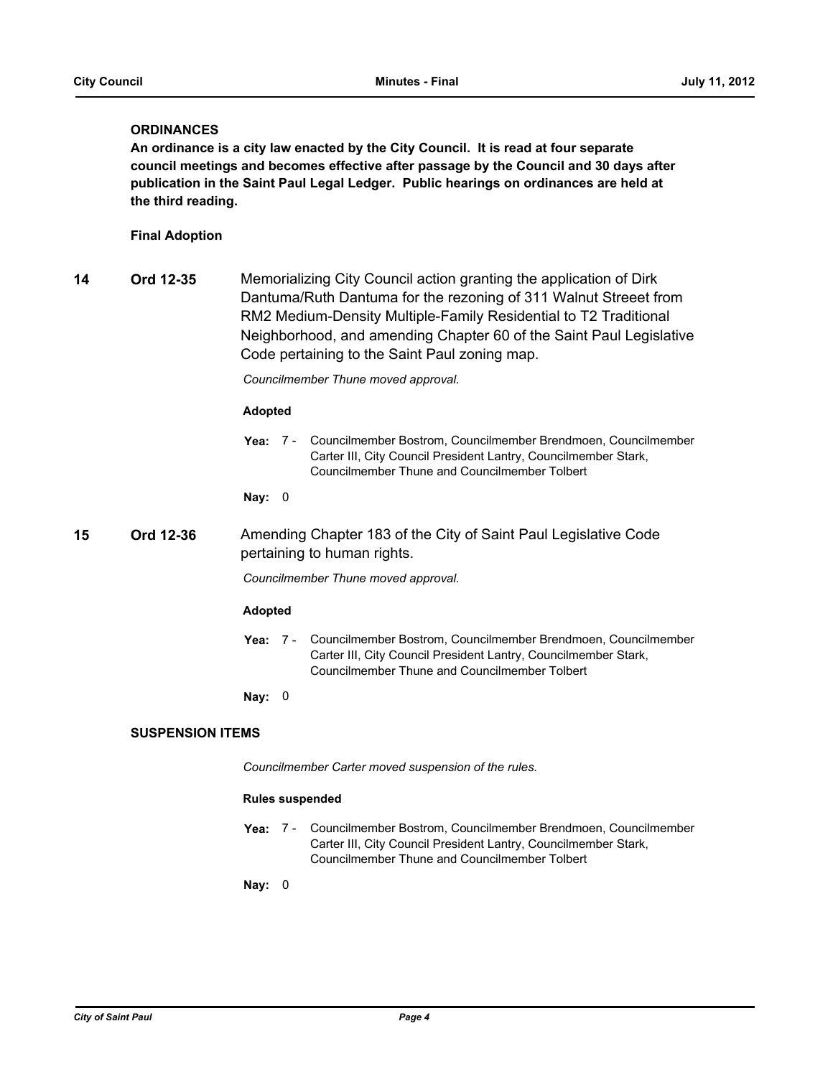## **ORDINANCES**

**An ordinance is a city law enacted by the City Council. It is read at four separate council meetings and becomes effective after passage by the Council and 30 days after publication in the Saint Paul Legal Ledger. Public hearings on ordinances are held at the third reading.**

## **Final Adoption**

**14 Ord 12-35** Memorializing City Council action granting the application of Dirk Dantuma/Ruth Dantuma for the rezoning of 311 Walnut Streeet from RM2 Medium-Density Multiple-Family Residential to T2 Traditional Neighborhood, and amending Chapter 60 of the Saint Paul Legislative Code pertaining to the Saint Paul zoning map.

*Councilmember Thune moved approval.*

#### **Adopted**

**Yea:** Councilmember Bostrom, Councilmember Brendmoen, Councilmember Carter III, City Council President Lantry, Councilmember Stark, Councilmember Thune and Councilmember Tolbert Yea: 7 -

**Nay:** 0

**15 Ord 12-36** Amending Chapter 183 of the City of Saint Paul Legislative Code pertaining to human rights.

*Councilmember Thune moved approval.*

#### **Adopted**

Yea: 7 - Councilmember Bostrom, Councilmember Brendmoen, Councilmember Carter III, City Council President Lantry, Councilmember Stark, Councilmember Thune and Councilmember Tolbert

**Nay:** 0

## **SUSPENSION ITEMS**

*Councilmember Carter moved suspension of the rules.*

#### **Rules suspended**

Yea: 7 - Councilmember Bostrom, Councilmember Brendmoen, Councilmember Carter III, City Council President Lantry, Councilmember Stark, Councilmember Thune and Councilmember Tolbert

**Nay:** 0